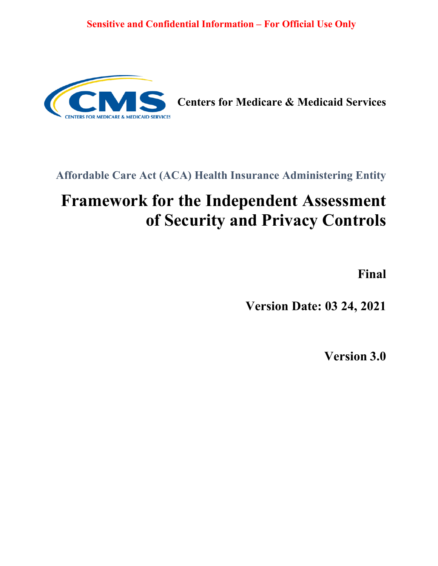

**Centers for Medicare & Medicaid Services**

## **Affordable Care Act (ACA) Health Insurance Administering Entity**

# **Framework for the Independent Assessment of Security and Privacy Controls**

**Final**

**Version Date: 03 24, 2021**

**Version 3.0**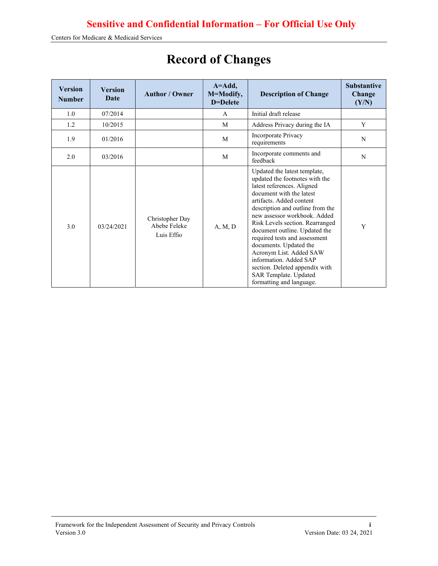| <b>Version</b><br><b>Number</b> | Version<br>Date | <b>Author / Owner</b>                         | $A = Add,$<br>M=Modify,<br>D=Delete | <b>Description of Change</b>                                                                                                                                                                                                                                                                                                                                                                                                                                                                        | <b>Substantive</b><br>Change<br>(Y/N) |
|---------------------------------|-----------------|-----------------------------------------------|-------------------------------------|-----------------------------------------------------------------------------------------------------------------------------------------------------------------------------------------------------------------------------------------------------------------------------------------------------------------------------------------------------------------------------------------------------------------------------------------------------------------------------------------------------|---------------------------------------|
| 1.0                             | 07/2014         |                                               | $\mathsf{A}$                        | Initial draft release                                                                                                                                                                                                                                                                                                                                                                                                                                                                               |                                       |
| 1.2                             | 10/2015         |                                               | M                                   | Address Privacy during the IA                                                                                                                                                                                                                                                                                                                                                                                                                                                                       | Y                                     |
| 1.9                             | 01/2016         |                                               | M                                   | Incorporate Privacy<br>requirements                                                                                                                                                                                                                                                                                                                                                                                                                                                                 | N                                     |
| 2.0                             | 03/2016         |                                               | M                                   | Incorporate comments and<br>feedback                                                                                                                                                                                                                                                                                                                                                                                                                                                                | N                                     |
| 3.0                             | 03/24/2021      | Christopher Day<br>Abebe Feleke<br>Luis Effio | A, M, D                             | Updated the latest template,<br>updated the footnotes with the<br>latest references. Aligned<br>document with the latest<br>artifacts. Added content<br>description and outline from the<br>new assessor workbook. Added<br>Risk Levels section. Rearranged<br>document outline. Updated the<br>required tests and assessment<br>documents. Updated the<br>Acronym List. Added SAW<br>information. Added SAP<br>section. Deleted appendix with<br>SAR Template. Updated<br>formatting and language. | Y                                     |

# **Record of Changes**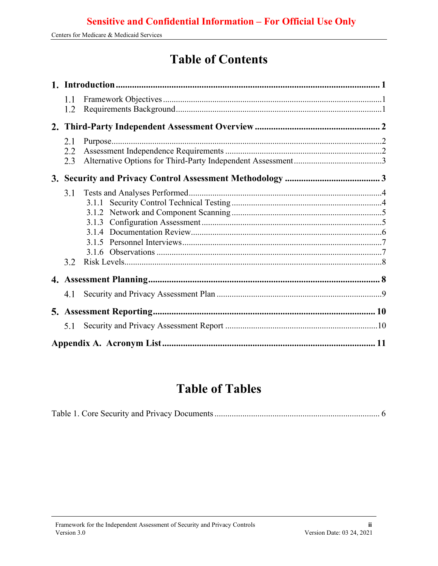## **Table of Contents**

| 1.1<br>1.2 |  |
|------------|--|
|            |  |
| 2.1        |  |
| 2.2        |  |
| 2.3        |  |
|            |  |
| 3.1        |  |
|            |  |
|            |  |
|            |  |
|            |  |
|            |  |
| 3.2        |  |
|            |  |
| 4.1        |  |
|            |  |
| 5.1        |  |
|            |  |

## **Table of Tables**

|--|--|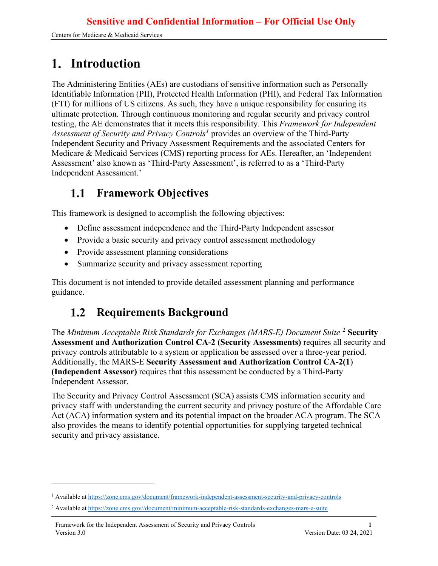## <span id="page-3-0"></span>**Introduction**

The Administering Entities (AEs) are custodians of sensitive information such as Personally Identifiable Information (PII), Protected Health Information (PHI), and Federal Tax Information (FTI) for millions of US citizens. As such, they have a unique responsibility for ensuring its ultimate protection. Through continuous monitoring and regular security and privacy control testing, the AE demonstrates that it meets this responsibility. This *Framework for Independent Assessment of Security and Privacy Controls[1](#page-3-3)* provides an overview of the Third-Party Independent Security and Privacy Assessment Requirements and the associated Centers for Medicare & Medicaid Services (CMS) reporting process for AEs. Hereafter, an 'Independent Assessment' also known as 'Third-Party Assessment', is referred to as a 'Third-Party Independent Assessment.'

#### <span id="page-3-1"></span>**Framework Objectives**  $1.1$

This framework is designed to accomplish the following objectives:

- Define assessment independence and the Third-Party Independent assessor
- Provide a basic security and privacy control assessment methodology
- Provide assessment planning considerations
- Summarize security and privacy assessment reporting

This document is not intended to provide detailed assessment planning and performance guidance.

#### <span id="page-3-2"></span>**Requirements Background**  $1.2$

The *Minimum Acceptable Risk Standards for Exchanges (MARS-E) Document Suite* [2](#page-3-4) **Security Assessment and Authorization Control CA-2 (Security Assessments)** requires all security and privacy controls attributable to a system or application be assessed over a three-year period. Additionally, the MARS-E **Security Assessment and Authorization Control CA-2(1**) **(Independent Assessor)** requires that this assessment be conducted by a Third-Party Independent Assessor.

The Security and Privacy Control Assessment (SCA) assists CMS information security and privacy staff with understanding the current security and privacy posture of the Affordable Care Act (ACA) information system and its potential impact on the broader ACA program. The SCA also provides the means to identify potential opportunities for supplying targeted technical security and privacy assistance.

<span id="page-3-3"></span><sup>1</sup> Available a[t https://zone.cms.gov/document/framework-independent-assessment-security-and-privacy-controls](https://zone.cms.gov/document/framework-independent-assessment-security-and-privacy-controls)

<span id="page-3-4"></span><sup>2</sup> Available a[t https://zone.cms.gov//document/minimum-acceptable-risk-standards-exchanges-mars-e-suite](https://zone.cms.gov/document/minimum-acceptable-risk-standards-exchanges-mars-e-suite)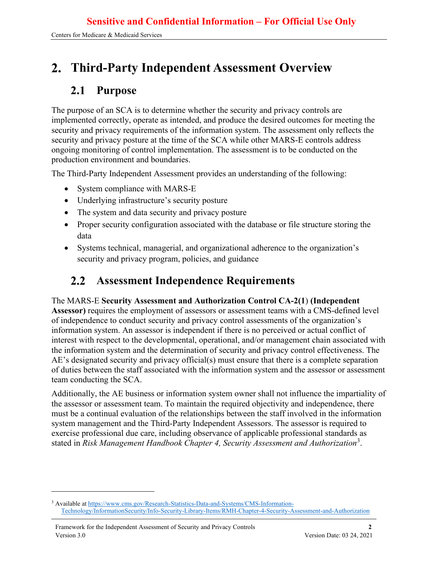## <span id="page-4-0"></span>**Third-Party Independent Assessment Overview**

#### <span id="page-4-1"></span>**Purpose**  $2.1$

The purpose of an SCA is to determine whether the security and privacy controls are implemented correctly, operate as intended, and produce the desired outcomes for meeting the security and privacy requirements of the information system. The assessment only reflects the security and privacy posture at the time of the SCA while other MARS-E controls address ongoing monitoring of control implementation. The assessment is to be conducted on the production environment and boundaries.

The Third-Party Independent Assessment provides an understanding of the following:

- System compliance with MARS-E
- Underlying infrastructure's security posture
- The system and data security and privacy posture
- Proper security configuration associated with the database or file structure storing the data
- Systems technical, managerial, and organizational adherence to the organization's security and privacy program, policies, and guidance

#### <span id="page-4-2"></span>**Assessment Independence Requirements**  $2.2^{\circ}$

#### The MARS-E **Security Assessment and Authorization Control CA-2(1**) **(Independent**

Assessor) requires the employment of assessors or assessment teams with a CMS-defined level of independence to conduct security and privacy control assessments of the organization's information system. An assessor is independent if there is no perceived or actual conflict of interest with respect to the developmental, operational, and/or management chain associated with the information system and the determination of security and privacy control effectiveness. The AE's designated security and privacy official(s) must ensure that there is a complete separation of duties between the staff associated with the information system and the assessor or assessment team conducting the SCA.

Additionally, the AE business or information system owner shall not influence the impartiality of the assessor or assessment team. To maintain the required objectivity and independence, there must be a continual evaluation of the relationships between the staff involved in the information system management and the Third-Party Independent Assessors. The assessor is required to exercise professional due care, including observance of applicable professional standards as stated in *Risk Management Handbook Chapter 4, Security Assessment and Authorization*[3](#page-4-3) .

<span id="page-4-3"></span><sup>3</sup> Available a[t https://www.cms.gov/Research-Statistics-Data-and-Systems/CMS-Information-](https://www.cms.gov/Research-Statistics-Data-and-Systems/CMS-Information-Technology/InformationSecurity/Info-Security-Library-Items/RMH-Chapter-4-Security-Assessment-and-Authorization)[Technology/InformationSecurity/Info-Security-Library-Items/RMH-Chapter-4-Security-Assessment-and-Authorization](https://www.cms.gov/Research-Statistics-Data-and-Systems/CMS-Information-Technology/InformationSecurity/Info-Security-Library-Items/RMH-Chapter-4-Security-Assessment-and-Authorization)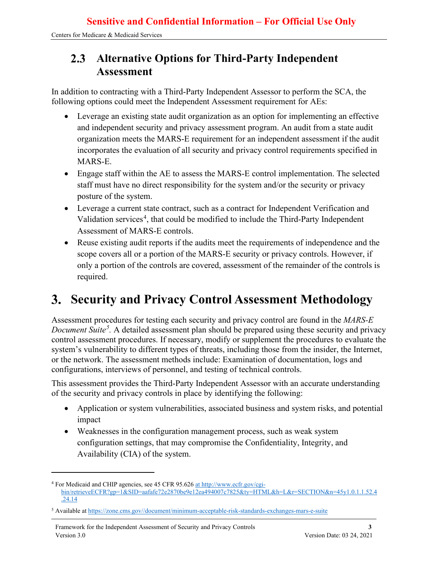#### <span id="page-5-0"></span>**Alternative Options for Third-Party Independent**   $2.3$ **Assessment**

In addition to contracting with a Third-Party Independent Assessor to perform the SCA, the following options could meet the Independent Assessment requirement for AEs:

- Leverage an existing state audit organization as an option for implementing an effective and independent security and privacy assessment program. An audit from a state audit organization meets the MARS-E requirement for an independent assessment if the audit incorporates the evaluation of all security and privacy control requirements specified in MARS-E.
- Engage staff within the AE to assess the MARS-E control implementation. The selected staff must have no direct responsibility for the system and/or the security or privacy posture of the system.
- Leverage a current state contract, such as a contract for Independent Verification and Validation services<sup>[4](#page-5-2)</sup>, that could be modified to include the Third-Party Independent Assessment of MARS-E controls.
- Reuse existing audit reports if the audits meet the requirements of independence and the scope covers all or a portion of the MARS-E security or privacy controls. However, if only a portion of the controls are covered, assessment of the remainder of the controls is required.

## <span id="page-5-1"></span>**Security and Privacy Control Assessment Methodology**

Assessment procedures for testing each security and privacy control are found in the *MARS-E Document Suite[5](#page-5-3) .* A detailed assessment plan should be prepared using these security and privacy control assessment procedures. If necessary, modify or supplement the procedures to evaluate the system's vulnerability to different types of threats, including those from the insider, the Internet, or the network. The assessment methods include: Examination of documentation, logs and configurations, interviews of personnel, and testing of technical controls.

This assessment provides the Third-Party Independent Assessor with an accurate understanding of the security and privacy controls in place by identifying the following:

- Application or system vulnerabilities, associated business and system risks, and potential impact
- Weaknesses in the configuration management process, such as weak system configuration settings, that may compromise the Confidentiality, Integrity, and Availability (CIA) of the system.

<span id="page-5-2"></span><sup>4</sup> For Medicaid and CHIP agencies, see 45 CFR 95.626 [at http://www.ecfr.gov/cgi](http://www.ecfr.gov/cgi-bin/retrieveECFR?gp=1&SID=aafafe72e2870be9e12ea494007c7825&ty=HTML&h=L&r=SECTION&n=45y1.0.1.1.52.4%20.24.14)[bin/retrieveECFR?gp=1&SID=aafafe72e2870be9e12ea494007c7825&ty=HTML&h=L&r=SECTION&n=45y1.0.1.1.52.4](http://www.ecfr.gov/cgi-bin/retrieveECFR?gp=1&SID=aafafe72e2870be9e12ea494007c7825&ty=HTML&h=L&r=SECTION&n=45y1.0.1.1.52.4%20.24.14)  [.24.14](http://www.ecfr.gov/cgi-bin/retrieveECFR?gp=1&SID=aafafe72e2870be9e12ea494007c7825&ty=HTML&h=L&r=SECTION&n=45y1.0.1.1.52.4%20.24.14)

<span id="page-5-3"></span><sup>5</sup> Available a[t https://zone.cms.gov//document/minimum-acceptable-risk-standards-exchanges-mars-e-suite](https://zone.cms.gov/document/minimum-acceptable-risk-standards-exchanges-mars-e-suite)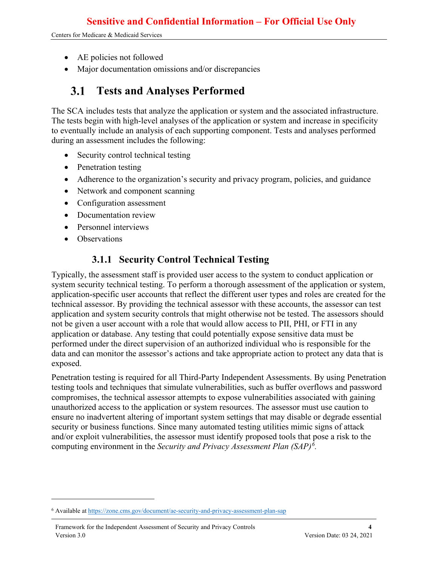Centers for Medicare & Medicaid Services

- AE policies not followed
- Major documentation omissions and/or discrepancies

#### <span id="page-6-0"></span>**Tests and Analyses Performed 3.1**

The SCA includes tests that analyze the application or system and the associated infrastructure. The tests begin with high-level analyses of the application or system and increase in specificity to eventually include an analysis of each supporting component. Tests and analyses performed during an assessment includes the following:

- Security control technical testing
- Penetration testing
- Adherence to the organization's security and privacy program, policies, and guidance
- Network and component scanning
- Configuration assessment
- Documentation review
- Personnel interviews
- <span id="page-6-1"></span>• Observations

### **3.1.1 Security Control Technical Testing**

Typically, the assessment staff is provided user access to the system to conduct application or system security technical testing. To perform a thorough assessment of the application or system, application-specific user accounts that reflect the different user types and roles are created for the technical assessor. By providing the technical assessor with these accounts, the assessor can test application and system security controls that might otherwise not be tested. The assessors should not be given a user account with a role that would allow access to PII, PHI, or FTI in any application or database. Any testing that could potentially expose sensitive data must be performed under the direct supervision of an authorized individual who is responsible for the data and can monitor the assessor's actions and take appropriate action to protect any data that is exposed.

Penetration testing is required for all Third-Party Independent Assessments. By using Penetration testing tools and techniques that simulate vulnerabilities, such as buffer overflows and password compromises, the technical assessor attempts to expose vulnerabilities associated with gaining unauthorized access to the application or system resources. The assessor must use caution to ensure no inadvertent altering of important system settings that may disable or degrade essential security or business functions. Since many automated testing utilities mimic signs of attack and/or exploit vulnerabilities, the assessor must identify proposed tools that pose a risk to the computing environment in the *Security and Privacy Assessment Plan (SAP)[6](#page-6-2) .*

<span id="page-6-2"></span><sup>6</sup> Available a[t https://zone.cms.gov/document/ae-security-and-privacy-assessment-plan-sap](https://zone.cms.gov/document/ae-security-and-privacy-assessment-plan-sap)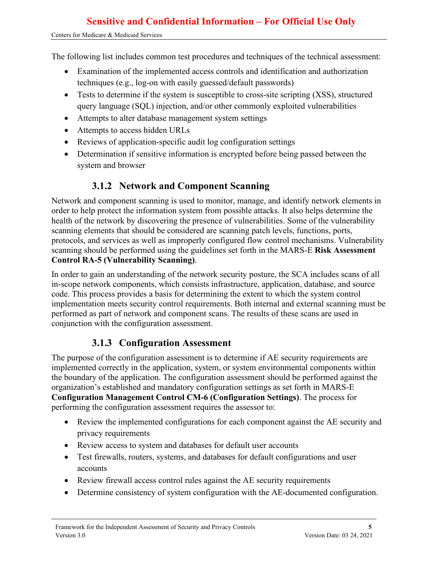The following list includes common test procedures and techniques of the technical assessment:

- Examination of the implemented access controls and identification and authorization techniques (e.g., log-on with easily guessed/default passwords)
- Tests to determine if the system is susceptible to cross-site scripting (XSS), structured query language (SQL) injection, and/or other commonly exploited vulnerabilities
- Attempts to alter database management system settings
- Attempts to access hidden URLs
- Reviews of application-specific audit log configuration settings
- Determination if sensitive information is encrypted before being passed between the system and browser

### **3.1.2 Network and Component Scanning**

<span id="page-7-0"></span>Network and component scanning is used to monitor, manage, and identify network elements in order to help protect the information system from possible attacks. It also helps determine the health of the network by discovering the presence of vulnerabilities. Some of the vulnerability scanning elements that should be considered are scanning patch levels, functions, ports, protocols, and services as well as improperly configured flow control mechanisms. Vulnerability scanning should be performed using the guidelines set forth in the MARS-E **Risk Assessment Control RA-5 (Vulnerability Scanning)**.

In order to gain an understanding of the network security posture, the SCA includes scans of all in-scope network components, which consists infrastructure, application, database, and source code. This process provides a basis for determining the extent to which the system control implementation meets security control requirements. Both internal and external scanning must be performed as part of network and component scans. The results of these scans are used in conjunction with the configuration assessment.

### **3.1.3 Configuration Assessment**

<span id="page-7-1"></span>The purpose of the configuration assessment is to determine if AE security requirements are implemented correctly in the application, system, or system environmental components within the boundary of the application. The configuration assessment should be performed against the organization's established and mandatory configuration settings as set forth in MARS-E **Configuration Management Control CM-6 (Configuration Settings)**. The process for performing the configuration assessment requires the assessor to:

- Review the implemented configurations for each component against the AE security and privacy requirements
- Review access to system and databases for default user accounts
- Test firewalls, routers, systems, and databases for default configurations and user accounts
- Review firewall access control rules against the AE security requirements
- Determine consistency of system configuration with the AE-documented configuration.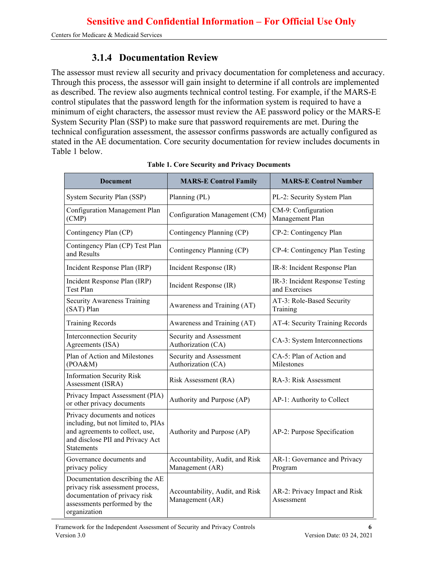#### **3.1.4 Documentation Review**

<span id="page-8-0"></span>The assessor must review all security and privacy documentation for completeness and accuracy. Through this process, the assessor will gain insight to determine if all controls are implemented as described. The review also augments technical control testing. For example, if the MARS-E control stipulates that the password length for the information system is required to have a minimum of eight characters, the assessor must review the AE password policy or the MARS-E System Security Plan (SSP) to make sure that password requirements are met. During the technical configuration assessment, the assessor confirms passwords are actually configured as stated in the AE documentation. Core security documentation for review includes documents in Table 1 below.

<span id="page-8-1"></span>

| <b>Document</b>                                                                                                                                                  | <b>MARS-E Control Family</b>                             | <b>MARS-E Control Number</b>                     |  |
|------------------------------------------------------------------------------------------------------------------------------------------------------------------|----------------------------------------------------------|--------------------------------------------------|--|
| System Security Plan (SSP)                                                                                                                                       | Planning (PL)                                            | PL-2: Security System Plan                       |  |
| Configuration Management Plan<br>(CMP)                                                                                                                           | Configuration Management (CM)                            | CM-9: Configuration<br>Management Plan           |  |
| Contingency Plan (CP)                                                                                                                                            | Contingency Planning (CP)                                | CP-2: Contingency Plan                           |  |
| Contingency Plan (CP) Test Plan<br>and Results                                                                                                                   | Contingency Planning (CP)                                | CP-4: Contingency Plan Testing                   |  |
| Incident Response Plan (IRP)                                                                                                                                     | Incident Response (IR)                                   | IR-8: Incident Response Plan                     |  |
| Incident Response Plan (IRP)<br>Test Plan                                                                                                                        | Incident Response (IR)                                   | IR-3: Incident Response Testing<br>and Exercises |  |
| Security Awareness Training<br>(SAT) Plan                                                                                                                        | Awareness and Training (AT)                              | AT-3: Role-Based Security<br>Training            |  |
| <b>Training Records</b>                                                                                                                                          | Awareness and Training (AT)                              | AT-4: Security Training Records                  |  |
| <b>Interconnection Security</b><br>Agreements (ISA)                                                                                                              | Security and Assessment<br>Authorization (CA)            | CA-3: System Interconnections                    |  |
| Plan of Action and Milestones<br>(POA&M)                                                                                                                         | Security and Assessment<br>Authorization (CA)            | CA-5: Plan of Action and<br>Milestones           |  |
| <b>Information Security Risk</b><br>Assessment (ISRA)                                                                                                            | Risk Assessment (RA)                                     | RA-3: Risk Assessment                            |  |
| Privacy Impact Assessment (PIA)<br>or other privacy documents                                                                                                    | Authority and Purpose (AP)<br>AP-1: Authority to Collect |                                                  |  |
| Privacy documents and notices<br>including, but not limited to, PIAs<br>and agreements to collect, use,<br>and disclose PII and Privacy Act<br><b>Statements</b> | Authority and Purpose (AP)                               | AP-2: Purpose Specification                      |  |
| Governance documents and<br>privacy policy                                                                                                                       | Accountability, Audit, and Risk<br>Management (AR)       | AR-1: Governance and Privacy<br>Program          |  |
| Documentation describing the AE<br>privacy risk assessment process,<br>documentation of privacy risk<br>assessments performed by the<br>organization             | Accountability, Audit, and Risk<br>Management (AR)       | AR-2: Privacy Impact and Risk<br>Assessment      |  |

|  |  |  |  |  | <b>Table 1. Core Security and Privacy Documents</b> |
|--|--|--|--|--|-----------------------------------------------------|
|--|--|--|--|--|-----------------------------------------------------|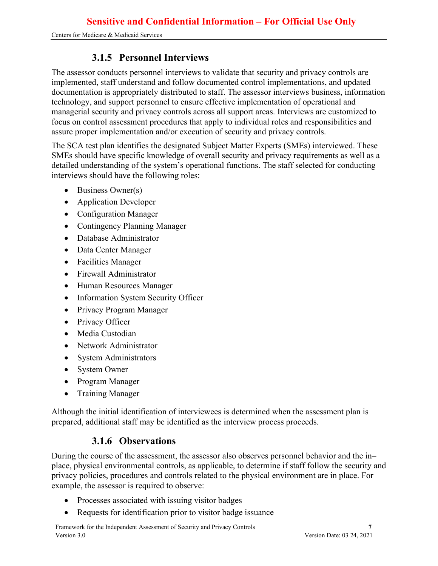### **3.1.5 Personnel Interviews**

<span id="page-9-0"></span>The assessor conducts personnel interviews to validate that security and privacy controls are implemented, staff understand and follow documented control implementations, and updated documentation is appropriately distributed to staff. The assessor interviews business, information technology, and support personnel to ensure effective implementation of operational and managerial security and privacy controls across all support areas. Interviews are customized to focus on control assessment procedures that apply to individual roles and responsibilities and assure proper implementation and/or execution of security and privacy controls.

The SCA test plan identifies the designated Subject Matter Experts (SMEs) interviewed. These SMEs should have specific knowledge of overall security and privacy requirements as well as a detailed understanding of the system's operational functions. The staff selected for conducting interviews should have the following roles:

- Business Owner(s)
- Application Developer
- Configuration Manager
- Contingency Planning Manager
- Database Administrator
- Data Center Manager
- Facilities Manager
- Firewall Administrator
- Human Resources Manager
- Information System Security Officer
- Privacy Program Manager
- Privacy Officer
- Media Custodian
- Network Administrator
- System Administrators
- System Owner
- Program Manager
- Training Manager

Although the initial identification of interviewees is determined when the assessment plan is prepared, additional staff may be identified as the interview process proceeds.

### **3.1.6 Observations**

<span id="page-9-1"></span>During the course of the assessment, the assessor also observes personnel behavior and the in– place, physical environmental controls, as applicable, to determine if staff follow the security and privacy policies, procedures and controls related to the physical environment are in place. For example, the assessor is required to observe:

- Processes associated with issuing visitor badges
- Requests for identification prior to visitor badge issuance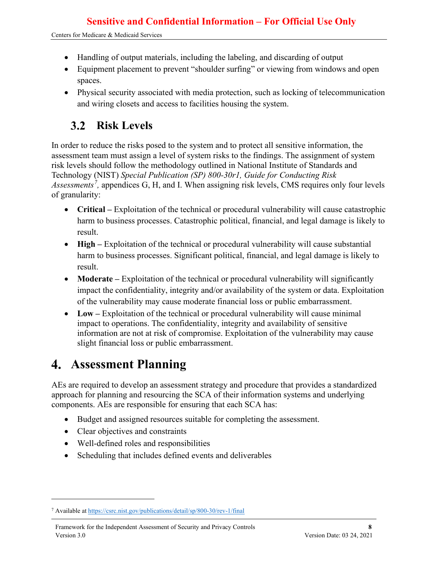- Handling of output materials, including the labeling, and discarding of output
- Equipment placement to prevent "shoulder surfing" or viewing from windows and open spaces.
- Physical security associated with media protection, such as locking of telecommunication and wiring closets and access to facilities housing the system.

#### <span id="page-10-0"></span>**Risk Levels**  $3.2$

In order to reduce the risks posed to the system and to protect all sensitive information, the assessment team must assign a level of system risks to the findings. The assignment of system risk levels should follow the methodology outlined in National Institute of Standards and Technology (NIST) *Special Publication (SP) 800-30r1, Guide for Conducting Risk Assessments[7](#page-10-2) ,* appendices G, H, and I. When assigning risk levels, CMS requires only four levels of granularity:

- **Critical** Exploitation of the technical or procedural vulnerability will cause catastrophic harm to business processes. Catastrophic political, financial, and legal damage is likely to result.
- **High** Exploitation of the technical or procedural vulnerability will cause substantial harm to business processes. Significant political, financial, and legal damage is likely to result.
- **Moderate** Exploitation of the technical or procedural vulnerability will significantly impact the confidentiality, integrity and/or availability of the system or data. Exploitation of the vulnerability may cause moderate financial loss or public embarrassment.
- Low Exploitation of the technical or procedural vulnerability will cause minimal impact to operations. The confidentiality, integrity and availability of sensitive information are not at risk of compromise. Exploitation of the vulnerability may cause slight financial loss or public embarrassment.

## <span id="page-10-1"></span>**Assessment Planning**

AEs are required to develop an assessment strategy and procedure that provides a standardized approach for planning and resourcing the SCA of their information systems and underlying components. AEs are responsible for ensuring that each SCA has:

- Budget and assigned resources suitable for completing the assessment.
- Clear objectives and constraints
- Well-defined roles and responsibilities
- Scheduling that includes defined events and deliverables

<span id="page-10-2"></span><sup>7</sup> Available a[t https://csrc.nist.gov/publications/detail/sp/800-30/rev-1/final](https://csrc.nist.gov/publications/detail/sp/800-30/rev-1/final)

Framework for the Independent Assessment of Security and Privacy Controls **8** Version 3.0 Version Date: 03 24, 2021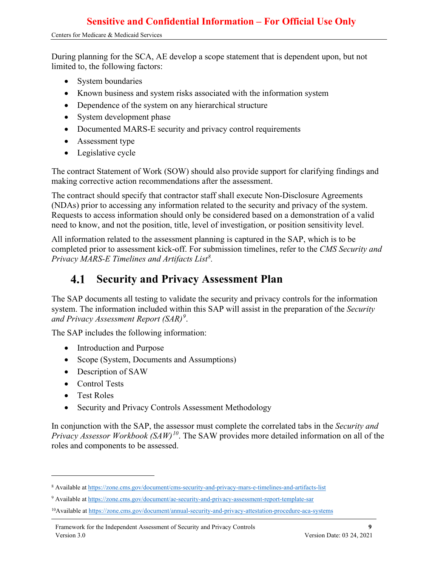During planning for the SCA, AE develop a scope statement that is dependent upon, but not limited to, the following factors:

- System boundaries
- Known business and system risks associated with the information system
- Dependence of the system on any hierarchical structure
- System development phase
- Documented MARS-E security and privacy control requirements
- Assessment type
- Legislative cycle

The contract Statement of Work (SOW) should also provide support for clarifying findings and making corrective action recommendations after the assessment.

The contract should specify that contractor staff shall execute Non-Disclosure Agreements (NDAs) prior to accessing any information related to the security and privacy of the system. Requests to access information should only be considered based on a demonstration of a valid need to know, and not the position, title, level of investigation, or position sensitivity level.

All information related to the assessment planning is captured in the SAP, which is to be completed prior to assessment kick-off. For submission timelines, refer to the *CMS Security and Privacy MARS-E Timelines and Artifacts List[8](#page-11-1) .*

#### <span id="page-11-0"></span>**Security and Privacy Assessment Plan** 4.1

The SAP documents all testing to validate the security and privacy controls for the information system. The information included within this SAP will assist in the preparation of the *Security and Privacy Assessment Report (SAR)[9](#page-11-2)* .

The SAP includes the following information:

- Introduction and Purpose
- Scope (System, Documents and Assumptions)
- Description of SAW
- Control Tests
- Test Roles
- Security and Privacy Controls Assessment Methodology

In conjunction with the SAP, the assessor must complete the correlated tabs in the *Security and Privacy Assessor Workbook (SAW)[10](#page-11-3)*. The SAW provides more detailed information on all of the roles and components to be assessed.

<span id="page-11-1"></span><sup>8</sup> Available a[t https://zone.cms.gov/document/cms-security-and-privacy-mars-e-timelines-and-artifacts-list](https://zone.cms.gov/document/cms-security-and-privacy-mars-e-timelines-and-artifacts-list)

<span id="page-11-2"></span><sup>9</sup> Available a[t https://zone.cms.gov/document/ae-security-and-privacy-assessment-report-template-sar](https://zone.cms.gov/document/ae-security-and-privacy-assessment-report-template-sar)

<span id="page-11-3"></span><sup>&</sup>lt;sup>10</sup>Available at <https://zone.cms.gov/document/annual-security-and-privacy-attestation-procedure-aca-systems>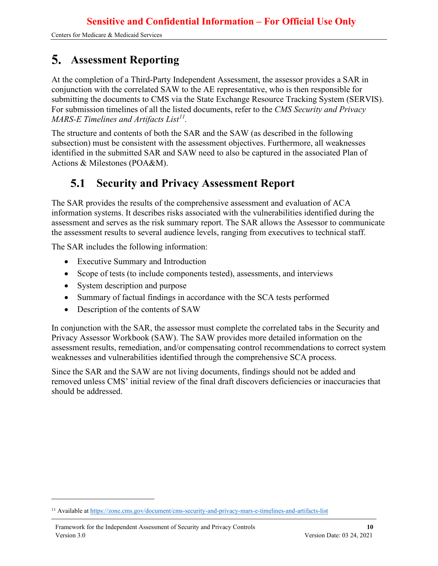## <span id="page-12-0"></span>**Assessment Reporting**

At the completion of a Third-Party Independent Assessment, the assessor provides a SAR in conjunction with the correlated SAW to the AE representative, who is then responsible for submitting the documents to CMS via the State Exchange Resource Tracking System (SERVIS). For submission timelines of all the listed documents, refer to the *CMS Security and Privacy MARS-E Timelines and Artifacts List[11.](#page-12-2)*

The structure and contents of both the SAR and the SAW (as described in the following subsection) must be consistent with the assessment objectives. Furthermore, all weaknesses identified in the submitted SAR and SAW need to also be captured in the associated Plan of Actions & Milestones (POA&M).

#### <span id="page-12-1"></span>**Security and Privacy Assessment Report**  $5.1$

The SAR provides the results of the comprehensive assessment and evaluation of ACA information systems. It describes risks associated with the vulnerabilities identified during the assessment and serves as the risk summary report. The SAR allows the Assessor to communicate the assessment results to several audience levels, ranging from executives to technical staff.

The SAR includes the following information:

- Executive Summary and Introduction
- Scope of tests (to include components tested), assessments, and interviews
- System description and purpose
- Summary of factual findings in accordance with the SCA tests performed
- Description of the contents of SAW

In conjunction with the SAR, the assessor must complete the correlated tabs in the Security and Privacy Assessor Workbook (SAW). The SAW provides more detailed information on the assessment results, remediation, and/or compensating control recommendations to correct system weaknesses and vulnerabilities identified through the comprehensive SCA process.

Since the SAR and the SAW are not living documents, findings should not be added and removed unless CMS' initial review of the final draft discovers deficiencies or inaccuracies that should be addressed.

<span id="page-12-2"></span><sup>&</sup>lt;sup>11</sup> Available a[t https://zone.cms.gov/document/cms-security-and-privacy-mars-e-timelines-and-artifacts-list](https://zone.cms.gov/document/cms-security-and-privacy-mars-e-timelines-and-artifacts-list)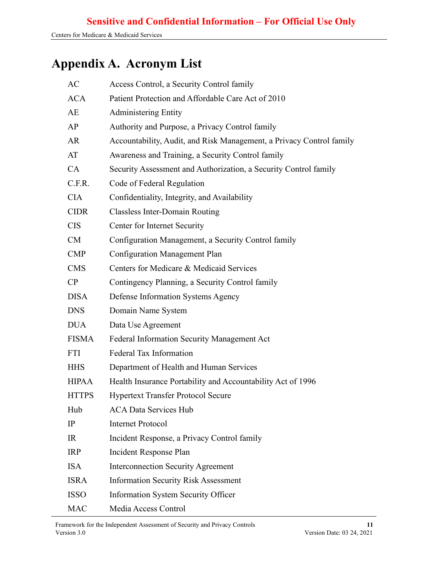## <span id="page-13-0"></span>**Appendix A. Acronym List**

| AC           | Access Control, a Security Control family                            |
|--------------|----------------------------------------------------------------------|
| <b>ACA</b>   | Patient Protection and Affordable Care Act of 2010                   |
| AE           | <b>Administering Entity</b>                                          |
| AP           | Authority and Purpose, a Privacy Control family                      |
| AR           | Accountability, Audit, and Risk Management, a Privacy Control family |
| AT           | Awareness and Training, a Security Control family                    |
| CA           | Security Assessment and Authorization, a Security Control family     |
| C.F.R.       | Code of Federal Regulation                                           |
| <b>CIA</b>   | Confidentiality, Integrity, and Availability                         |
| <b>CIDR</b>  | <b>Classless Inter-Domain Routing</b>                                |
| <b>CIS</b>   | Center for Internet Security                                         |
| CM           | Configuration Management, a Security Control family                  |
| <b>CMP</b>   | Configuration Management Plan                                        |
| <b>CMS</b>   | Centers for Medicare & Medicaid Services                             |
| CP           | Contingency Planning, a Security Control family                      |
| <b>DISA</b>  | Defense Information Systems Agency                                   |
| <b>DNS</b>   | Domain Name System                                                   |
| <b>DUA</b>   | Data Use Agreement                                                   |
| <b>FISMA</b> | Federal Information Security Management Act                          |
| <b>FTI</b>   | Federal Tax Information                                              |
| <b>HHS</b>   | Department of Health and Human Services                              |
| <b>HIPAA</b> | Health Insurance Portability and Accountability Act of 1996          |
| <b>HTTPS</b> | <b>Hypertext Transfer Protocol Secure</b>                            |
| Hub          | <b>ACA Data Services Hub</b>                                         |
| IP           | <b>Internet Protocol</b>                                             |
| <b>IR</b>    | Incident Response, a Privacy Control family                          |
| <b>IRP</b>   | Incident Response Plan                                               |
| <b>ISA</b>   | <b>Interconnection Security Agreement</b>                            |
| <b>ISRA</b>  | <b>Information Security Risk Assessment</b>                          |
| <b>ISSO</b>  | <b>Information System Security Officer</b>                           |
| <b>MAC</b>   | Media Access Control                                                 |